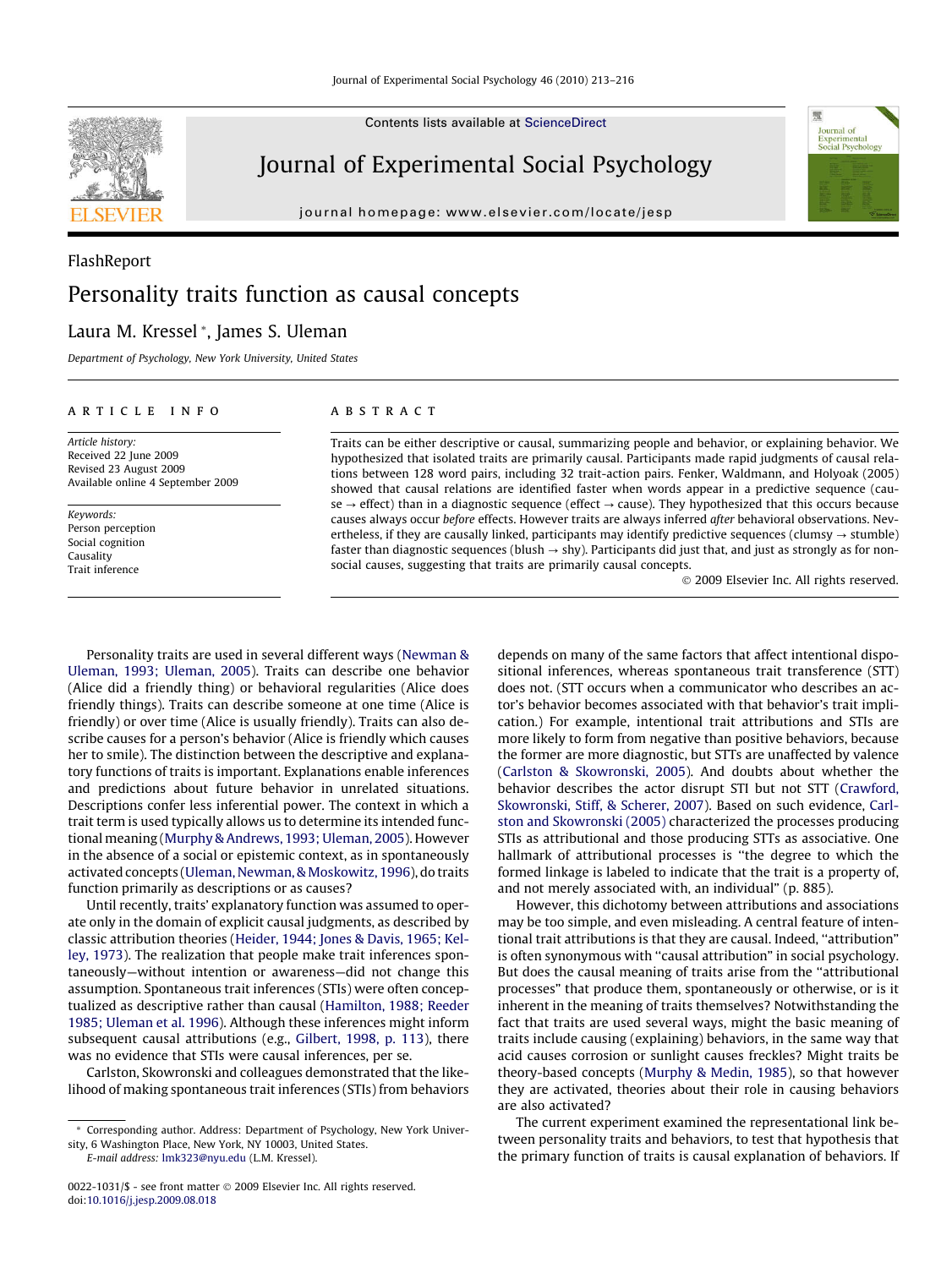Contents lists available at [ScienceDirect](http://www.sciencedirect.com/science/journal/00221031)



Journal of Experimental Social Psychology

journal homepage: [www.elsevier.com/locate/jesp](http://www.elsevier.com/locate/jesp)



# FlashReport Personality traits function as causal concepts

## Laura M. Kressel \*, James S. Uleman

Department of Psychology, New York University, United States

## article info

Article history: Received 22 June 2009 Revised 23 August 2009 Available online 4 September 2009

Keywords: Person perception Social cognition Causality Trait inference

## **ABSTRACT**

Traits can be either descriptive or causal, summarizing people and behavior, or explaining behavior. We hypothesized that isolated traits are primarily causal. Participants made rapid judgments of causal relations between 128 word pairs, including 32 trait-action pairs. Fenker, Waldmann, and Holyoak (2005) showed that causal relations are identified faster when words appear in a predictive sequence (cau $se \rightarrow$  effect) than in a diagnostic sequence (effect  $\rightarrow$  cause). They hypothesized that this occurs because causes always occur before effects. However traits are always inferred after behavioral observations. Nevertheless, if they are causally linked, participants may identify predictive sequences (clumsy  $\rightarrow$  stumble) faster than diagnostic sequences (blush  $\rightarrow$  shy). Participants did just that, and just as strongly as for nonsocial causes, suggesting that traits are primarily causal concepts.

- 2009 Elsevier Inc. All rights reserved.

Personality traits are used in several different ways ([Newman &](#page-3-0) [Uleman, 1993; Uleman, 2005](#page-3-0)). Traits can describe one behavior (Alice did a friendly thing) or behavioral regularities (Alice does friendly things). Traits can describe someone at one time (Alice is friendly) or over time (Alice is usually friendly). Traits can also describe causes for a person's behavior (Alice is friendly which causes her to smile). The distinction between the descriptive and explanatory functions of traits is important. Explanations enable inferences and predictions about future behavior in unrelated situations. Descriptions confer less inferential power. The context in which a trait term is used typically allows us to determine its intended functional meaning [\(Murphy & Andrews, 1993; Uleman, 2005](#page-3-0)). However in the absence of a social or epistemic context, as in spontaneously activated concepts ([Uleman, Newman, & Moskowitz, 1996\)](#page-3-0), do traits function primarily as descriptions or as causes?

Until recently, traits' explanatory function was assumed to operate only in the domain of explicit causal judgments, as described by classic attribution theories [\(Heider, 1944; Jones & Davis, 1965; Kel](#page-3-0)[ley, 1973](#page-3-0)). The realization that people make trait inferences spontaneously—without intention or awareness—did not change this assumption. Spontaneous trait inferences (STIs) were often conceptualized as descriptive rather than causal ([Hamilton, 1988; Reeder](#page-3-0) [1985; Uleman et al. 1996\)](#page-3-0). Although these inferences might inform subsequent causal attributions (e.g., [Gilbert, 1998, p. 113](#page-3-0)), there was no evidence that STIs were causal inferences, per se.

Carlston, Skowronski and colleagues demonstrated that the likelihood of making spontaneous trait inferences (STIs) from behaviors

E-mail address: [lmk323@nyu.edu](mailto:lmk323@nyu.edu) (L.M. Kressel).

depends on many of the same factors that affect intentional dispositional inferences, whereas spontaneous trait transference (STT) does not. (STT occurs when a communicator who describes an actor's behavior becomes associated with that behavior's trait implication.) For example, intentional trait attributions and STIs are more likely to form from negative than positive behaviors, because the former are more diagnostic, but STTs are unaffected by valence ([Carlston & Skowronski, 2005](#page-3-0)). And doubts about whether the behavior describes the actor disrupt STI but not STT ([Crawford,](#page-3-0) [Skowronski, Stiff, & Scherer, 2007\)](#page-3-0). Based on such evidence, [Carl](#page-3-0)[ston and Skowronski \(2005\)](#page-3-0) characterized the processes producing STIs as attributional and those producing STTs as associative. One hallmark of attributional processes is ''the degree to which the formed linkage is labeled to indicate that the trait is a property of, and not merely associated with, an individual" (p. 885).

However, this dichotomy between attributions and associations may be too simple, and even misleading. A central feature of intentional trait attributions is that they are causal. Indeed, ''attribution" is often synonymous with ''causal attribution" in social psychology. But does the causal meaning of traits arise from the ''attributional processes" that produce them, spontaneously or otherwise, or is it inherent in the meaning of traits themselves? Notwithstanding the fact that traits are used several ways, might the basic meaning of traits include causing (explaining) behaviors, in the same way that acid causes corrosion or sunlight causes freckles? Might traits be theory-based concepts [\(Murphy & Medin, 1985\)](#page-3-0), so that however they are activated, theories about their role in causing behaviors are also activated?

The current experiment examined the representational link between personality traits and behaviors, to test that hypothesis that the primary function of traits is causal explanation of behaviors. If

<sup>\*</sup> Corresponding author. Address: Department of Psychology, New York University, 6 Washington Place, New York, NY 10003, United States.

<sup>0022-1031/\$ -</sup> see front matter © 2009 Elsevier Inc. All rights reserved. doi[:10.1016/j.jesp.2009.08.018](http://dx.doi.org/10.1016/j.jesp.2009.08.018)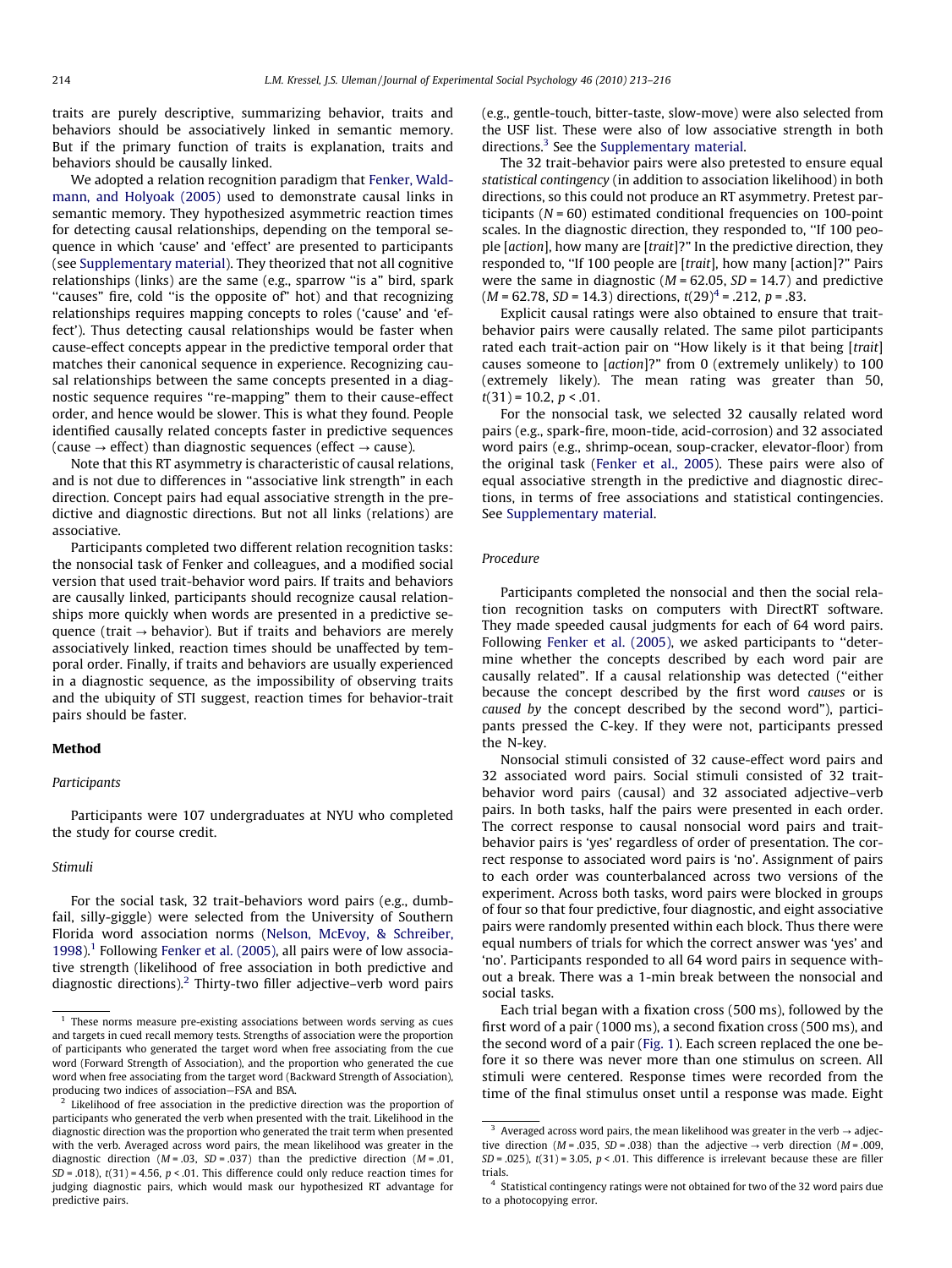traits are purely descriptive, summarizing behavior, traits and behaviors should be associatively linked in semantic memory. But if the primary function of traits is explanation, traits and behaviors should be causally linked.

We adopted a relation recognition paradigm that [Fenker, Wald](#page-3-0)[mann, and Holyoak \(2005\)](#page-3-0) used to demonstrate causal links in semantic memory. They hypothesized asymmetric reaction times for detecting causal relationships, depending on the temporal sequence in which 'cause' and 'effect' are presented to participants (see Supplementary material). They theorized that not all cognitive relationships (links) are the same (e.g., sparrow "is a" bird, spark "causes" fire, cold "is the opposite of" hot) and that recognizing relationships requires mapping concepts to roles ('cause' and 'effect'). Thus detecting causal relationships would be faster when cause-effect concepts appear in the predictive temporal order that matches their canonical sequence in experience. Recognizing causal relationships between the same concepts presented in a diagnostic sequence requires ''re-mapping" them to their cause-effect order, and hence would be slower. This is what they found. People identified causally related concepts faster in predictive sequences (cause  $\rightarrow$  effect) than diagnostic sequences (effect  $\rightarrow$  cause).

Note that this RT asymmetry is characteristic of causal relations, and is not due to differences in ''associative link strength" in each direction. Concept pairs had equal associative strength in the predictive and diagnostic directions. But not all links (relations) are associative.

Participants completed two different relation recognition tasks: the nonsocial task of Fenker and colleagues, and a modified social version that used trait-behavior word pairs. If traits and behaviors are causally linked, participants should recognize causal relationships more quickly when words are presented in a predictive sequence (trait  $\rightarrow$  behavior). But if traits and behaviors are merely associatively linked, reaction times should be unaffected by temporal order. Finally, if traits and behaviors are usually experienced in a diagnostic sequence, as the impossibility of observing traits and the ubiquity of STI suggest, reaction times for behavior-trait pairs should be faster.

#### Method

#### Participants

Participants were 107 undergraduates at NYU who completed the study for course credit.

#### Stimuli

For the social task, 32 trait-behaviors word pairs (e.g., dumbfail, silly-giggle) were selected from the University of Southern Florida word association norms ([Nelson, McEvoy, & Schreiber,](#page-3-0) [1998\)](#page-3-0).<sup>1</sup> Following [Fenker et al. \(2005\),](#page-3-0) all pairs were of low associative strength (likelihood of free association in both predictive and diagnostic directions).<sup>2</sup> Thirty-two filler adjective–verb word pairs (e.g., gentle-touch, bitter-taste, slow-move) were also selected from the USF list. These were also of low associative strength in both directions.<sup>3</sup> See the Supplementary material.

The 32 trait-behavior pairs were also pretested to ensure equal statistical contingency (in addition to association likelihood) in both directions, so this could not produce an RT asymmetry. Pretest participants ( $N = 60$ ) estimated conditional frequencies on 100-point scales. In the diagnostic direction, they responded to, ''If 100 people [action], how many are [trait]?" In the predictive direction, they responded to, ''If 100 people are [trait], how many [action]?" Pairs were the same in diagnostic ( $M = 62.05$ ,  $SD = 14.7$ ) and predictive  $(M = 62.78, SD = 14.3)$  directions,  $t(29)^4 = .212, p = .83$ .

Explicit causal ratings were also obtained to ensure that traitbehavior pairs were causally related. The same pilot participants rated each trait-action pair on "How likely is it that being [trait] causes someone to [action]?" from 0 (extremely unlikely) to 100 (extremely likely). The mean rating was greater than 50,  $t(31) = 10.2, p < .01.$ 

For the nonsocial task, we selected 32 causally related word pairs (e.g., spark-fire, moon-tide, acid-corrosion) and 32 associated word pairs (e.g., shrimp-ocean, soup-cracker, elevator-floor) from the original task [\(Fenker et al., 2005\)](#page-3-0). These pairs were also of equal associative strength in the predictive and diagnostic directions, in terms of free associations and statistical contingencies. See Supplementary material.

## Procedure

Participants completed the nonsocial and then the social relation recognition tasks on computers with DirectRT software. They made speeded causal judgments for each of 64 word pairs. Following [Fenker et al. \(2005\),](#page-3-0) we asked participants to ''determine whether the concepts described by each word pair are causally related". If a causal relationship was detected (''either because the concept described by the first word causes or is caused by the concept described by the second word"), participants pressed the C-key. If they were not, participants pressed the N-key.

Nonsocial stimuli consisted of 32 cause-effect word pairs and 32 associated word pairs. Social stimuli consisted of 32 traitbehavior word pairs (causal) and 32 associated adjective–verb pairs. In both tasks, half the pairs were presented in each order. The correct response to causal nonsocial word pairs and traitbehavior pairs is 'yes' regardless of order of presentation. The correct response to associated word pairs is 'no'. Assignment of pairs to each order was counterbalanced across two versions of the experiment. Across both tasks, word pairs were blocked in groups of four so that four predictive, four diagnostic, and eight associative pairs were randomly presented within each block. Thus there were equal numbers of trials for which the correct answer was 'yes' and 'no'. Participants responded to all 64 word pairs in sequence without a break. There was a 1-min break between the nonsocial and social tasks.

Each trial began with a fixation cross (500 ms), followed by the first word of a pair (1000 ms), a second fixation cross (500 ms), and the second word of a pair [\(Fig. 1](#page-2-0)). Each screen replaced the one before it so there was never more than one stimulus on screen. All stimuli were centered. Response times were recorded from the time of the final stimulus onset until a response was made. Eight

 $1$  These norms measure pre-existing associations between words serving as cues and targets in cued recall memory tests. Strengths of association were the proportion of participants who generated the target word when free associating from the cue word (Forward Strength of Association), and the proportion who generated the cue word when free associating from the target word (Backward Strength of Association), producing two indices of association—FSA and BSA.

<sup>&</sup>lt;sup>2</sup> Likelihood of free association in the predictive direction was the proportion of participants who generated the verb when presented with the trait. Likelihood in the diagnostic direction was the proportion who generated the trait term when presented with the verb. Averaged across word pairs, the mean likelihood was greater in the diagnostic direction  $(M = .03, SD = .037)$  than the predictive direction  $(M = .01,$  $SD = .018$ ),  $t(31) = 4.56$ ,  $p < .01$ . This difference could only reduce reaction times for judging diagnostic pairs, which would mask our hypothesized RT advantage for predictive pairs.

 $^3$  Averaged across word pairs, the mean likelihood was greater in the verb  $\rightarrow$  adjective direction ( $M = .035$ ,  $SD = .038$ ) than the adjective  $\rightarrow$  verb direction ( $M = .009$ ,  $SD = .025$ ),  $t(31) = 3.05$ ,  $p < .01$ . This difference is irrelevant because these are filler trials.

<sup>4</sup> Statistical contingency ratings were not obtained for two of the 32 word pairs due to a photocopying error.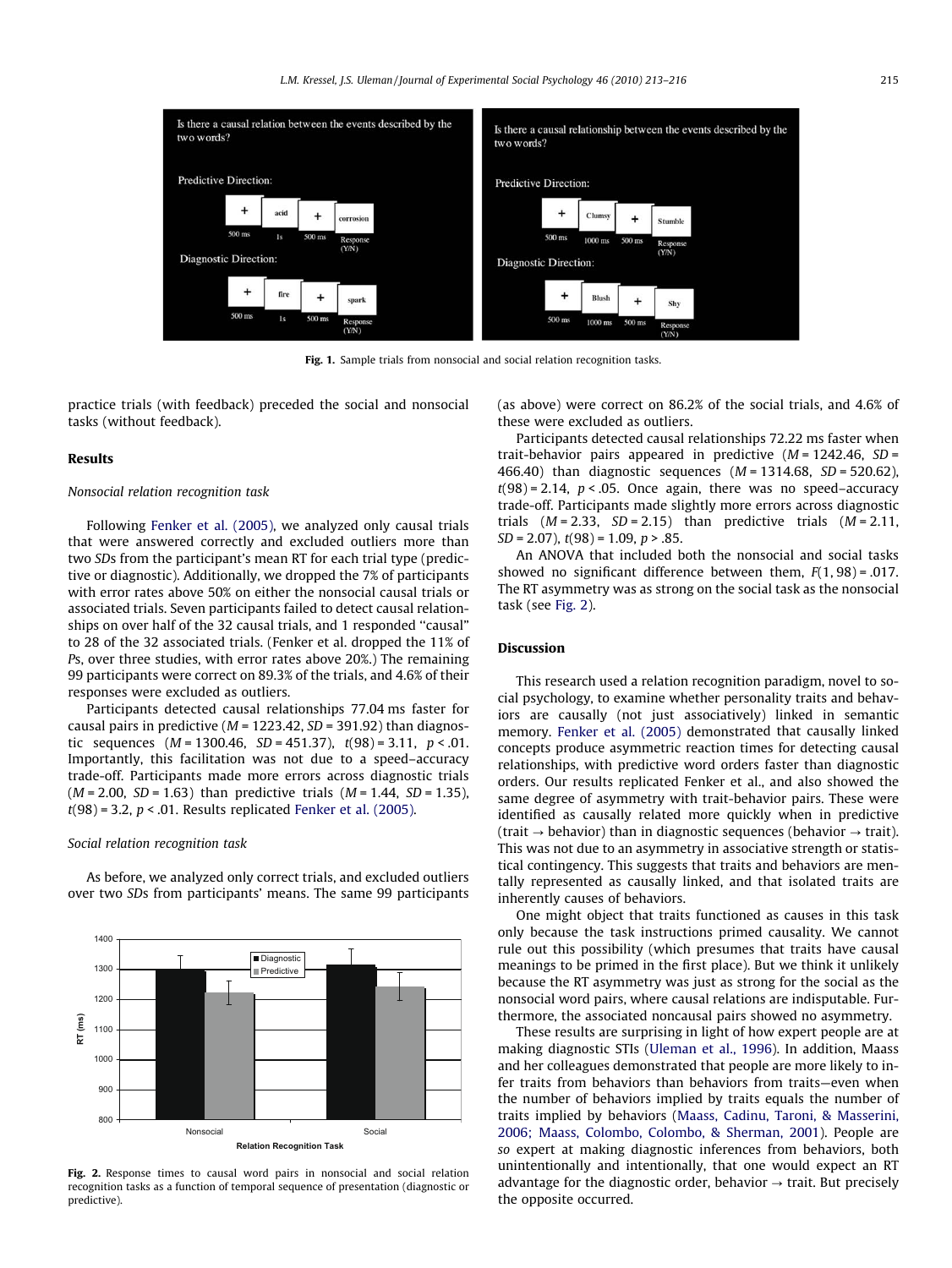<span id="page-2-0"></span>

Fig. 1. Sample trials from nonsocial and social relation recognition tasks.

practice trials (with feedback) preceded the social and nonsocial tasks (without feedback).

## Results

#### Nonsocial relation recognition task

Following [Fenker et al. \(2005\),](#page-3-0) we analyzed only causal trials that were answered correctly and excluded outliers more than two SDs from the participant's mean RT for each trial type (predictive or diagnostic). Additionally, we dropped the 7% of participants with error rates above 50% on either the nonsocial causal trials or associated trials. Seven participants failed to detect causal relationships on over half of the 32 causal trials, and 1 responded ''causal" to 28 of the 32 associated trials. (Fenker et al. dropped the 11% of Ps, over three studies, with error rates above 20%.) The remaining 99 participants were correct on 89.3% of the trials, and 4.6% of their responses were excluded as outliers.

Participants detected causal relationships 77.04 ms faster for causal pairs in predictive ( $M = 1223.42$ ,  $SD = 391.92$ ) than diagnostic sequences  $(M = 1300.46, SD = 451.37), t(98) = 3.11, p < .01.$ Importantly, this facilitation was not due to a speed–accuracy trade-off. Participants made more errors across diagnostic trials  $(M = 2.00, SD = 1.63)$  than predictive trials  $(M = 1.44, SD = 1.35)$ ,  $t(98)$  = 3.2,  $p < 0.01$ . Results replicated [Fenker et al. \(2005\).](#page-3-0)

#### Social relation recognition task

As before, we analyzed only correct trials, and excluded outliers over two SDs from participants' means. The same 99 participants



Fig. 2. Response times to causal word pairs in nonsocial and social relation recognition tasks as a function of temporal sequence of presentation (diagnostic or predictive).

(as above) were correct on 86.2% of the social trials, and 4.6% of these were excluded as outliers.

Participants detected causal relationships 72.22 ms faster when trait-behavior pairs appeared in predictive  $(M = 1242.46, SD =$ 466.40) than diagnostic sequences (M = 1314.68, SD = 520.62),  $t(98) = 2.14$ ,  $p < .05$ . Once again, there was no speed–accuracy trade-off. Participants made slightly more errors across diagnostic trials  $(M = 2.33, SD = 2.15)$  than predictive trials  $(M = 2.11,$  $SD = 2.07$ ,  $t(98) = 1.09$ ,  $p > .85$ .

An ANOVA that included both the nonsocial and social tasks showed no significant difference between them,  $F(1, 98) = .017$ . The RT asymmetry was as strong on the social task as the nonsocial task (see Fig. 2).

## Discussion

This research used a relation recognition paradigm, novel to social psychology, to examine whether personality traits and behaviors are causally (not just associatively) linked in semantic memory. [Fenker et al. \(2005\)](#page-3-0) demonstrated that causally linked concepts produce asymmetric reaction times for detecting causal relationships, with predictive word orders faster than diagnostic orders. Our results replicated Fenker et al., and also showed the same degree of asymmetry with trait-behavior pairs. These were identified as causally related more quickly when in predictive (trait  $\rightarrow$  behavior) than in diagnostic sequences (behavior  $\rightarrow$  trait). This was not due to an asymmetry in associative strength or statistical contingency. This suggests that traits and behaviors are mentally represented as causally linked, and that isolated traits are inherently causes of behaviors.

One might object that traits functioned as causes in this task only because the task instructions primed causality. We cannot rule out this possibility (which presumes that traits have causal meanings to be primed in the first place). But we think it unlikely because the RT asymmetry was just as strong for the social as the nonsocial word pairs, where causal relations are indisputable. Furthermore, the associated noncausal pairs showed no asymmetry.

These results are surprising in light of how expert people are at making diagnostic STIs ([Uleman et al., 1996](#page-3-0)). In addition, Maass and her colleagues demonstrated that people are more likely to infer traits from behaviors than behaviors from traits—even when the number of behaviors implied by traits equals the number of traits implied by behaviors ([Maass, Cadinu, Taroni, & Masserini,](#page-3-0) [2006; Maass, Colombo, Colombo, & Sherman, 2001\)](#page-3-0). People are so expert at making diagnostic inferences from behaviors, both unintentionally and intentionally, that one would expect an RT advantage for the diagnostic order, behavior  $\rightarrow$  trait. But precisely the opposite occurred.